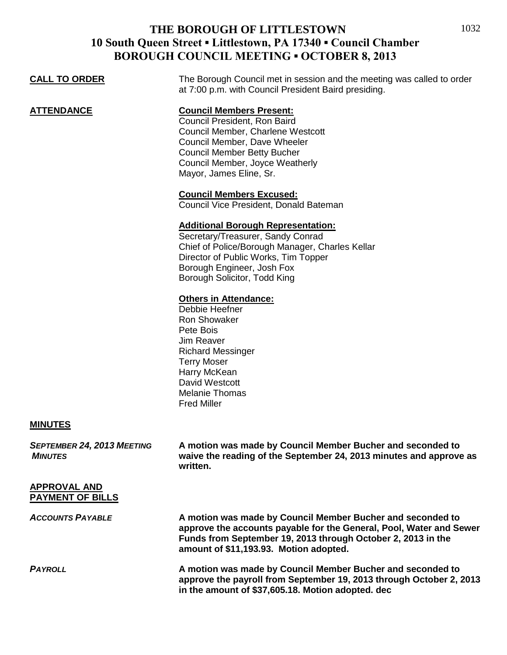### **THE BOROUGH OF LITTLESTOWN 10 South Queen Street ▪ Littlestown, PA 17340 ▪ Council Chamber BOROUGH COUNCIL MEETING ▪ OCTOBER 8, 2013**

| <b>CALL TO ORDER</b>                         | The Borough Council met in session and the meeting was called to order<br>at 7:00 p.m. with Council President Baird presiding.                                                                                                           |
|----------------------------------------------|------------------------------------------------------------------------------------------------------------------------------------------------------------------------------------------------------------------------------------------|
| <b>ATTENDANCE</b>                            | <b>Council Members Present:</b><br>Council President, Ron Baird<br>Council Member, Charlene Westcott<br>Council Member, Dave Wheeler<br><b>Council Member Betty Bucher</b><br>Council Member, Joyce Weatherly<br>Mayor, James Eline, Sr. |
|                                              | <b>Council Members Excused:</b><br>Council Vice President, Donald Bateman                                                                                                                                                                |
|                                              | <b>Additional Borough Representation:</b><br>Secretary/Treasurer, Sandy Conrad<br>Chief of Police/Borough Manager, Charles Kellar<br>Director of Public Works, Tim Topper<br>Borough Engineer, Josh Fox<br>Borough Solicitor, Todd King  |
|                                              | <b>Others in Attendance:</b><br>Debbie Heefner<br>Ron Showaker<br>Pete Bois<br>Jim Reaver<br><b>Richard Messinger</b><br><b>Terry Moser</b><br>Harry McKean<br>David Westcott<br><b>Melanie Thomas</b><br><b>Fred Miller</b>             |
| <b>MINUTES</b>                               |                                                                                                                                                                                                                                          |
| SEPTEMBER 24, 2013 MEETING<br><b>MINUTES</b> | A motion was made by Council Member Bucher and seconded to<br>waive the reading of the September 24, 2013 minutes and approve as<br>written.                                                                                             |

### **APPROVAL AND PAYMENT OF BILLS**

*ACCOUNTS PAYABLE* **A motion was made by Council Member Bucher and seconded to approve the accounts payable for the General, Pool, Water and Sewer Funds from September 19, 2013 through October 2, 2013 in the amount of \$11,193.93. Motion adopted.** *PAYROLL* **A motion was made by Council Member Bucher and seconded to approve the payroll from September 19, 2013 through October 2, 2013**

**in the amount of \$37,605.18. Motion adopted. dec**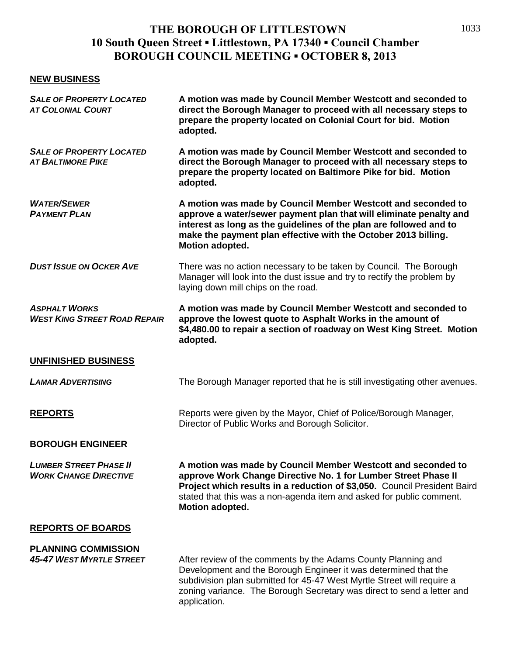## **THE BOROUGH OF LITTLESTOWN 10 South Queen Street ▪ Littlestown, PA 17340 ▪ Council Chamber BOROUGH COUNCIL MEETING ▪ OCTOBER 8, 2013**

#### **NEW BUSINESS**

| <b>SALE OF PROPERTY LOCATED</b><br><b>AT COLONIAL COURT</b>   | A motion was made by Council Member Westcott and seconded to<br>direct the Borough Manager to proceed with all necessary steps to<br>prepare the property located on Colonial Court for bid. Motion<br>adopted.                                                                                       |
|---------------------------------------------------------------|-------------------------------------------------------------------------------------------------------------------------------------------------------------------------------------------------------------------------------------------------------------------------------------------------------|
| <b>SALE OF PROPERTY LOCATED</b><br><b>AT BALTIMORE PIKE</b>   | A motion was made by Council Member Westcott and seconded to<br>direct the Borough Manager to proceed with all necessary steps to<br>prepare the property located on Baltimore Pike for bid. Motion<br>adopted.                                                                                       |
| <b>WATER/SEWER</b><br><b>PAYMENT PLAN</b>                     | A motion was made by Council Member Westcott and seconded to<br>approve a water/sewer payment plan that will eliminate penalty and<br>interest as long as the guidelines of the plan are followed and to<br>make the payment plan effective with the October 2013 billing.<br>Motion adopted.         |
| <b>DUST ISSUE ON OCKER AVE</b>                                | There was no action necessary to be taken by Council. The Borough<br>Manager will look into the dust issue and try to rectify the problem by<br>laying down mill chips on the road.                                                                                                                   |
| <b>ASPHALT WORKS</b><br><b>WEST KING STREET ROAD REPAIR</b>   | A motion was made by Council Member Westcott and seconded to<br>approve the lowest quote to Asphalt Works in the amount of<br>\$4,480.00 to repair a section of roadway on West King Street. Motion<br>adopted.                                                                                       |
| UNFINISHED BUSINESS                                           |                                                                                                                                                                                                                                                                                                       |
| <b>LAMAR ADVERTISING</b>                                      | The Borough Manager reported that he is still investigating other avenues.                                                                                                                                                                                                                            |
| <b>REPORTS</b>                                                | Reports were given by the Mayor, Chief of Police/Borough Manager,<br>Director of Public Works and Borough Solicitor.                                                                                                                                                                                  |
| <b>BOROUGH ENGINEER</b>                                       |                                                                                                                                                                                                                                                                                                       |
| <b>LUMBER STREET PHASE II</b><br><b>WORK CHANGE DIRECTIVE</b> | A motion was made by Council Member Westcott and seconded to<br>approve Work Change Directive No. 1 for Lumber Street Phase II<br>Project which results in a reduction of \$3,050. Council President Baird<br>stated that this was a non-agenda item and asked for public comment.<br>Motion adopted. |
| <b>REPORTS OF BOARDS</b>                                      |                                                                                                                                                                                                                                                                                                       |
| <b>PLANNING COMMISSION</b><br><b>45-47 WEST MYRTLE STREET</b> | After review of the comments by the Adams County Planning and<br>Development and the Borough Engineer it was determined that the                                                                                                                                                                      |

subdivision plan submitted for 45-47 West Myrtle Street will require a zoning variance. The Borough Secretary was direct to send a letter and application.